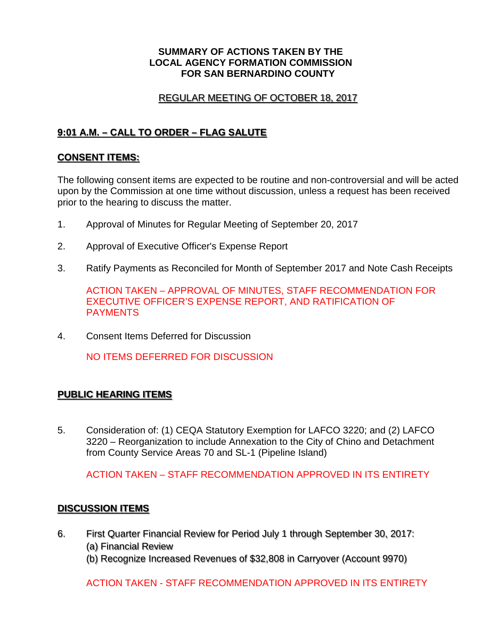#### **SUMMARY OF ACTIONS TAKEN BY THE LOCAL AGENCY FORMATION COMMISSION FOR SAN BERNARDINO COUNTY**

### REGULAR MEETING OF OCTOBER 18, 2017

# **9:01 A.M. – CALL TO ORDER – FLAG SALUTE**

### **CONSENT ITEMS:**

The following consent items are expected to be routine and non-controversial and will be acted upon by the Commission at one time without discussion, unless a request has been received prior to the hearing to discuss the matter.

- 1. Approval of Minutes for Regular Meeting of September 20, 2017
- 2. Approval of Executive Officer's Expense Report
- 3. Ratify Payments as Reconciled for Month of September 2017 and Note Cash Receipts

ACTION TAKEN – APPROVAL OF MINUTES, STAFF RECOMMENDATION FOR EXECUTIVE OFFICER'S EXPENSE REPORT, AND RATIFICATION OF PAYMENTS

4. Consent Items Deferred for Discussion

NO ITEMS DEFERRED FOR DISCUSSION

## **PUBLIC HEARING ITEMS**

5. Consideration of: (1) CEQA Statutory Exemption for LAFCO 3220; and (2) LAFCO 3220 – Reorganization to include Annexation to the City of Chino and Detachment from County Service Areas 70 and SL-1 (Pipeline Island)

ACTION TAKEN – STAFF RECOMMENDATION APPROVED IN ITS ENTIRETY

### **DISCUSSION ITEMS**

- 6. First Quarter Financial Review for Period July 1 through September 30, 2017: (a) Financial Review
	- (b) Recognize Increased Revenues of \$32,808 in Carryover (Account 9970)

ACTION TAKEN - STAFF RECOMMENDATION APPROVED IN ITS ENTIRETY